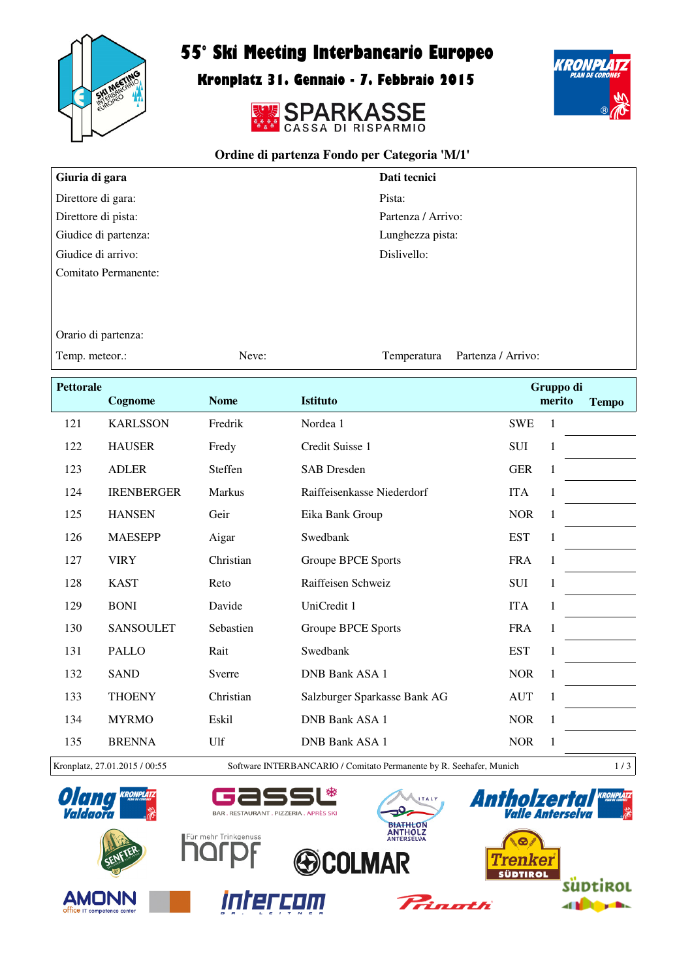

## 55° Ski Meeting Interbancario Europeo

Kronplatz 31. Gennaio - 7. Febbraio 2015





## **Ordine di partenza Fondo per Categoria 'M/1'**

| Giuria di gara       | Dati tecnici       |
|----------------------|--------------------|
| Direttore di gara:   | Pista:             |
| Direttore di pista:  | Partenza / Arrivo: |
| Giudice di partenza: | Lunghezza pista:   |
| Giudice di arrivo:   | Dislivello:        |
| Comitato Permanente: |                    |

Orario di partenza:

Temp. meteor.: Neve: Neve: Partenza / Arrivo:

| <b>Pettorale</b> |                   |             |                              |            | Gruppo di    |              |
|------------------|-------------------|-------------|------------------------------|------------|--------------|--------------|
|                  | Cognome           | <b>Nome</b> | <b>Istituto</b>              |            | merito       | <b>Tempo</b> |
| 121              | <b>KARLSSON</b>   | Fredrik     | Nordea 1                     | <b>SWE</b> | 1            |              |
| 122              | <b>HAUSER</b>     | Fredy       | Credit Suisse 1              | <b>SUI</b> | 1            |              |
| 123              | <b>ADLER</b>      | Steffen     | <b>SAB</b> Dresden           | <b>GER</b> | 1            |              |
| 124              | <b>IRENBERGER</b> | Markus      | Raiffeisenkasse Niederdorf   | <b>ITA</b> | 1            |              |
| 125              | <b>HANSEN</b>     | Geir        | Eika Bank Group              | <b>NOR</b> | 1            |              |
| 126              | <b>MAESEPP</b>    | Aigar       | Swedbank                     | <b>EST</b> | 1            |              |
| 127              | <b>VIRY</b>       | Christian   | Groupe BPCE Sports           | <b>FRA</b> | 1            |              |
| 128              | <b>KAST</b>       | Reto        | Raiffeisen Schweiz           | SUI        | $\mathbf{1}$ |              |
| 129              | <b>BONI</b>       | Davide      | UniCredit 1                  | <b>ITA</b> | 1            |              |
| 130              | <b>SANSOULET</b>  | Sebastien   | Groupe BPCE Sports           | <b>FRA</b> | 1            |              |
| 131              | <b>PALLO</b>      | Rait        | Swedbank                     | <b>EST</b> | 1            |              |
| 132              | <b>SAND</b>       | Sverre      | <b>DNB Bank ASA 1</b>        | <b>NOR</b> | 1            |              |
| 133              | <b>THOENY</b>     | Christian   | Salzburger Sparkasse Bank AG | <b>AUT</b> | 1            |              |
| 134              | <b>MYRMO</b>      | Eskil       | <b>DNB Bank ASA 1</b>        | <b>NOR</b> | 1            |              |
| 135              | <b>BRENNA</b>     | Ulf         | <b>DNB Bank ASA 1</b>        | <b>NOR</b> | 1            |              |
|                  |                   |             |                              |            |              |              |

Kronplatz, 27.01.2015 / 00:55 Software INTERBANCARIO / Comitato Permanente by R. Seehafer, Munich 1 / 3

₩



**AMONN** 



BAR. RESTAURANT. PIZZERIA. APRÈS SKI

Gā



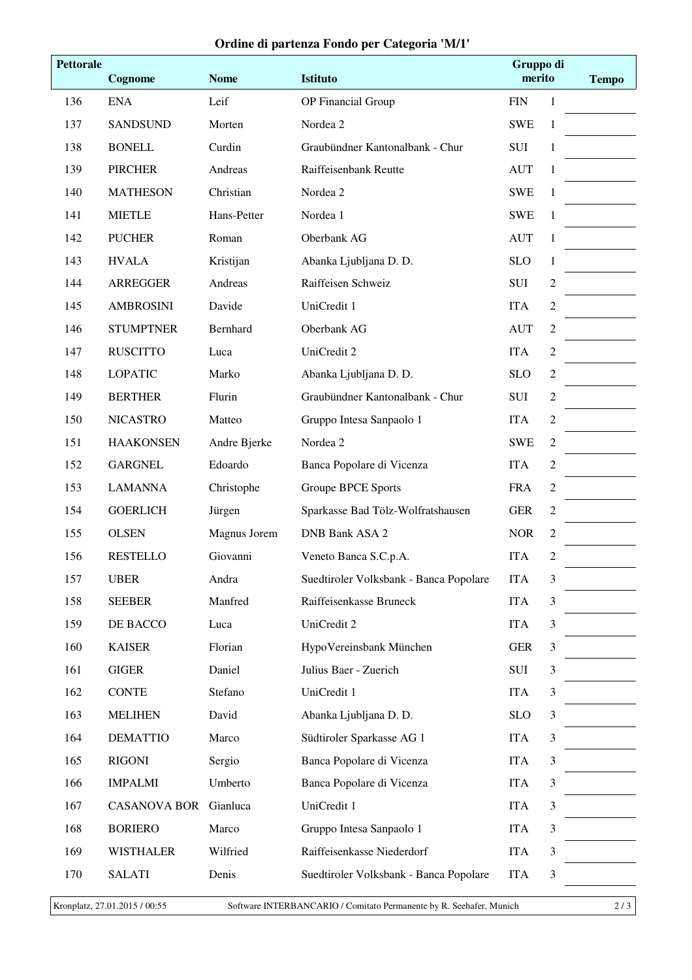## **Ordine di partenza Fondo per Categoria 'M/1'**

| <b>Pettorale</b> | Cognome             | <b>Nome</b>  | Istituto                               | Gruppo di<br>merito |                | <b>Tempo</b> |
|------------------|---------------------|--------------|----------------------------------------|---------------------|----------------|--------------|
| 136              | <b>ENA</b>          | Leif         | OP Financial Group                     | <b>FIN</b>          | 1              |              |
| 137              | <b>SANDSUND</b>     | Morten       | Nordea 2                               | <b>SWE</b>          | $\mathbf{1}$   |              |
| 138              | <b>BONELL</b>       | Curdin       | Graubündner Kantonalbank - Chur        | ${\bf SUI}$         | 1              |              |
| 139              | <b>PIRCHER</b>      | Andreas      | Raiffeisenbank Reutte                  | <b>AUT</b>          | 1              |              |
| 140              | <b>MATHESON</b>     | Christian    | Nordea 2                               | <b>SWE</b>          | 1              |              |
| 141              | <b>MIETLE</b>       | Hans-Petter  | Nordea 1                               | <b>SWE</b>          | 1              |              |
| 142              | <b>PUCHER</b>       | Roman        | Oberbank AG                            | <b>AUT</b>          | 1              |              |
| 143              | <b>HVALA</b>        | Kristijan    | Abanka Ljubljana D. D.                 | <b>SLO</b>          | 1              |              |
| 144              | <b>ARREGGER</b>     | Andreas      | Raiffeisen Schweiz                     | <b>SUI</b>          | $\sqrt{2}$     |              |
| 145              | <b>AMBROSINI</b>    | Davide       | UniCredit 1                            | <b>ITA</b>          | $\overline{2}$ |              |
| 146              | <b>STUMPTNER</b>    | Bernhard     | Oberbank AG                            | <b>AUT</b>          | $\mathfrak{2}$ |              |
| 147              | <b>RUSCITTO</b>     | Luca         | UniCredit 2                            | <b>ITA</b>          | $\sqrt{2}$     |              |
| 148              | <b>LOPATIC</b>      | Marko        | Abanka Ljubljana D. D.                 | <b>SLO</b>          | $\overline{2}$ |              |
| 149              | <b>BERTHER</b>      | Flurin       | Graubündner Kantonalbank - Chur        | <b>SUI</b>          | $\overline{c}$ |              |
| 150              | <b>NICASTRO</b>     | Matteo       | Gruppo Intesa Sanpaolo 1               | <b>ITA</b>          | $\mathfrak{2}$ |              |
| 151              | <b>HAAKONSEN</b>    | Andre Bjerke | Nordea 2                               | <b>SWE</b>          | $\overline{2}$ |              |
| 152              | <b>GARGNEL</b>      | Edoardo      | Banca Popolare di Vicenza              | <b>ITA</b>          | $\mathfrak{2}$ |              |
| 153              | <b>LAMANNA</b>      | Christophe   | <b>Groupe BPCE Sports</b>              | <b>FRA</b>          | $\overline{2}$ |              |
| 154              | <b>GOERLICH</b>     | Jürgen       | Sparkasse Bad Tölz-Wolfratshausen      | <b>GER</b>          | $\mathfrak{2}$ |              |
| 155              | <b>OLSEN</b>        | Magnus Jorem | <b>DNB Bank ASA 2</b>                  | <b>NOR</b>          | $\sqrt{2}$     |              |
| 156              | <b>RESTELLO</b>     | Giovanni     | Veneto Banca S.C.p.A.                  | <b>ITA</b>          | 2              |              |
| 157              | <b>UBER</b>         | Andra        | Suedtiroler Volksbank - Banca Popolare | <b>ITA</b>          | 3              |              |
| 158              | <b>SEEBER</b>       | Manfred      | Raiffeisenkasse Bruneck                | <b>ITA</b>          | 3              |              |
| 159              | DE BACCO            | Luca         | UniCredit 2                            | <b>ITA</b>          | 3              |              |
| 160              | <b>KAISER</b>       | Florian      | HypoVereinsbank München                | <b>GER</b>          | 3              |              |
| 161              | <b>GIGER</b>        | Daniel       | Julius Baer - Zuerich                  | SUI                 | 3              |              |
| 162              | <b>CONTE</b>        | Stefano      | UniCredit 1                            | <b>ITA</b>          | 3              |              |
| 163              | <b>MELIHEN</b>      | David        | Abanka Ljubljana D. D.                 | <b>SLO</b>          | 3              |              |
| 164              | <b>DEMATTIO</b>     | Marco        | Südtiroler Sparkasse AG 1              | <b>ITA</b>          | 3              |              |
| 165              | <b>RIGONI</b>       | Sergio       | Banca Popolare di Vicenza              | <b>ITA</b>          | 3              |              |
| 166              | <b>IMPALMI</b>      | Umberto      | Banca Popolare di Vicenza              | <b>ITA</b>          | 3              |              |
| 167              | <b>CASANOVA BOR</b> | Gianluca     | UniCredit 1                            | <b>ITA</b>          | $\mathfrak{Z}$ |              |
| 168              | <b>BORIERO</b>      | Marco        | Gruppo Intesa Sanpaolo 1               | <b>ITA</b>          | 3              |              |
| 169              | <b>WISTHALER</b>    | Wilfried     | Raiffeisenkasse Niederdorf             | <b>ITA</b>          | 3              |              |
| 170              | <b>SALATI</b>       | Denis        | Suedtiroler Volksbank - Banca Popolare | <b>ITA</b>          | 3              |              |